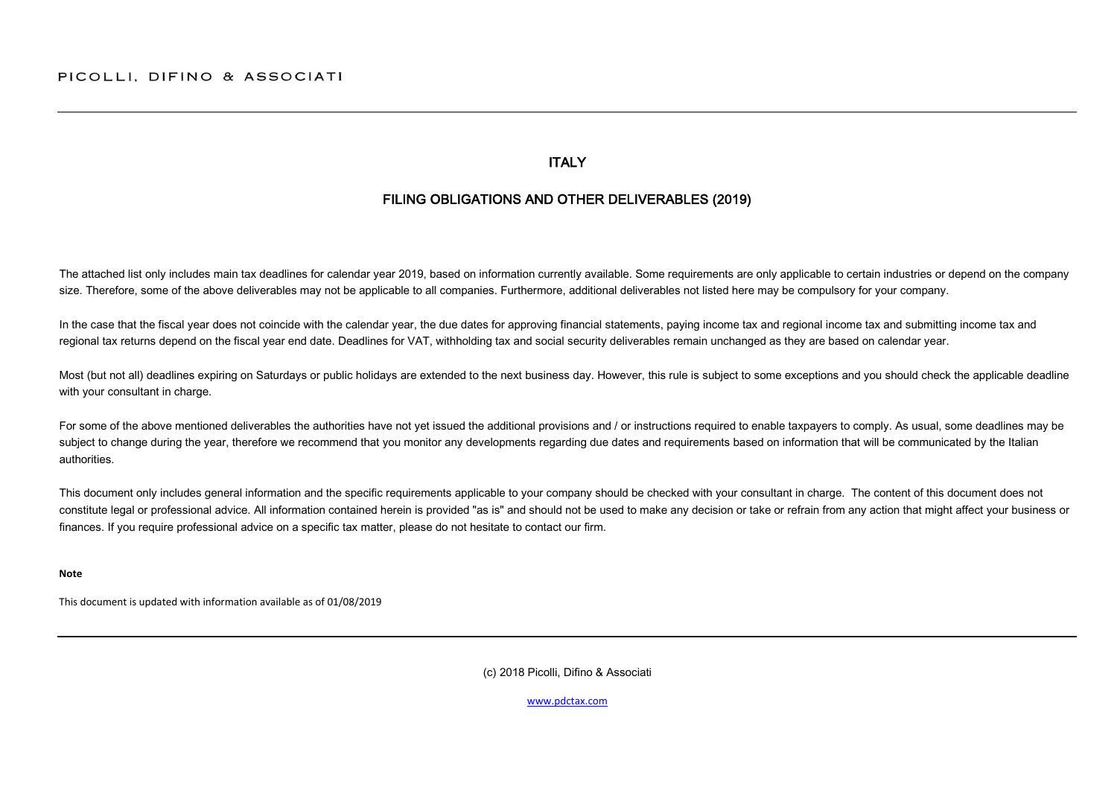#### **ITALY**

## FILING OBLIGATIONS AND OTHER DELIVERABLES (2019)

The attached list only includes main tax deadlines for calendar year 2019, based on information currently available. Some requirements are only applicable to certain industries or depend on the company size. Therefore, some of the above deliverables may not be applicable to all companies. Furthermore, additional deliverables not listed here may be compulsory for your company.

In the case that the fiscal year does not coincide with the calendar year, the due dates for approving financial statements, paying income tax and regional income tax and submitting income tax and regional tax returns depend on the fiscal year end date. Deadlines for VAT, withholding tax and social security deliverables remain unchanged as they are based on calendar year.

Most (but not all) deadlines expiring on Saturdays or public holidays are extended to the next business day. However, this rule is subject to some exceptions and you should check the applicable deadline with your consultant in charge.

For some of the above mentioned deliverables the authorities have not yet issued the additional provisions and / or instructions required to enable taxpayers to comply. As usual, some deadlines may be subject to change during the year, therefore we recommend that you monitor any developments regarding due dates and requirements based on information that will be communicated by the Italian authorities.

This document only includes general information and the specific requirements applicable to your company should be checked with your consultant in charge. The content of this document does not constitute legal or professional advice. All information contained herein is provided "as is" and should not be used to make any decision or take or refrain from any action that might affect your business or finances. If you require professional advice on a specific tax matter, please do not hesitate to contact our firm.

**Note**

This document is updated with information available as of 01/08/2019

(c) 2018 Picolli, Difino & Associati

[www.pdctax.com](http://www.pdctax.com/)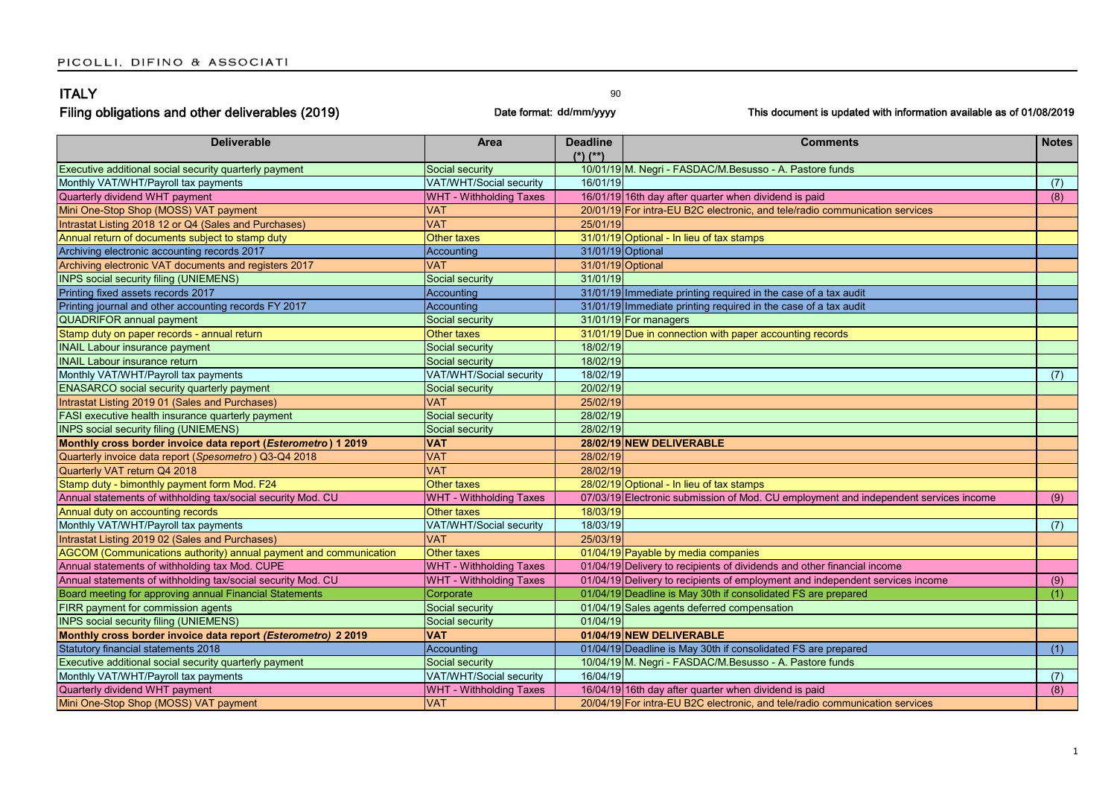| <b>ITALY</b>                                                      |                                | 90                      |                                                                                      |              |
|-------------------------------------------------------------------|--------------------------------|-------------------------|--------------------------------------------------------------------------------------|--------------|
| Filing obligations and other deliverables (2019)                  |                                | Date format: dd/mm/yyyy | This document is updated with information available as of 01/08/2019                 |              |
| <b>Deliverable</b>                                                | Area                           | <b>Deadline</b>         | <b>Comments</b>                                                                      | <b>Notes</b> |
|                                                                   |                                | $(*)$ (**)              |                                                                                      |              |
| Executive additional social security quarterly payment            | Social security                |                         | 10/01/19 M. Negri - FASDAC/M.Besusso - A. Pastore funds                              |              |
| Monthly VAT/WHT/Payroll tax payments                              | VAT/WHT/Social security        | 16/01/19                |                                                                                      | (7)          |
| Quarterly dividend WHT payment                                    | WHT - Withholding Taxes        |                         | 16/01/19 16th day after quarter when dividend is paid                                | (8)          |
| Mini One-Stop Shop (MOSS) VAT payment                             | VAT                            |                         | 20/01/19 For intra-EU B2C electronic, and tele/radio communication services          |              |
| Intrastat Listing 2018 12 or Q4 (Sales and Purchases)             | <b>VAT</b>                     | 25/01/19                |                                                                                      |              |
| Annual return of documents subject to stamp duty                  | Other taxes                    |                         | 31/01/19 Optional - In lieu of tax stamps                                            |              |
| Archiving electronic accounting records 2017                      | Accounting                     | 31/01/19 Optional       |                                                                                      |              |
| Archiving electronic VAT documents and registers 2017             | <b>VAT</b>                     | 31/01/19 Optional       |                                                                                      |              |
| <b>INPS social security filing (UNIEMENS)</b>                     | Social security                | 31/01/19                |                                                                                      |              |
| Printing fixed assets records 2017                                | Accounting                     |                         | 31/01/19 Immediate printing required in the case of a tax audit                      |              |
| Printing journal and other accounting records FY 2017             | Accounting                     |                         | 31/01/19 Immediate printing required in the case of a tax audit                      |              |
| <b>QUADRIFOR annual payment</b>                                   | Social security                |                         | 31/01/19 For managers                                                                |              |
| Stamp duty on paper records - annual return                       | <b>Other taxes</b>             |                         | 31/01/19 Due in connection with paper accounting records                             |              |
| <b>INAIL Labour insurance payment</b>                             | Social security                | 18/02/19                |                                                                                      |              |
| <b>INAIL Labour insurance return</b>                              | Social security                | 18/02/19                |                                                                                      |              |
| Monthly VAT/WHT/Payroll tax payments                              | VAT/WHT/Social security        | 18/02/19                |                                                                                      | (7)          |
| <b>ENASARCO</b> social security quarterly payment                 | Social security                | 20/02/19                |                                                                                      |              |
| Intrastat Listing 2019 01 (Sales and Purchases)                   | <b>VAT</b>                     | 25/02/19                |                                                                                      |              |
| FASI executive health insurance quarterly payment                 | Social security                | 28/02/19                |                                                                                      |              |
| <b>INPS social security filing (UNIEMENS)</b>                     | Social security                | 28/02/19                |                                                                                      |              |
| Monthly cross border invoice data report (Esterometro) 1 2019     | <b>VAT</b>                     |                         | 28/02/19 NEW DELIVERABLE                                                             |              |
| Quarterly invoice data report (Spesometro) Q3-Q4 2018             | <b>VAT</b>                     | 28/02/19                |                                                                                      |              |
| Quarterly VAT return Q4 2018                                      | <b>VAT</b>                     | 28/02/19                |                                                                                      |              |
| Stamp duty - bimonthly payment form Mod. F24                      | Other taxes                    |                         | 28/02/19 Optional - In lieu of tax stamps                                            |              |
| Annual statements of withholding tax/social security Mod. CU      | WHT - Withholding Taxes        |                         | 07/03/19 Electronic submission of Mod. CU employment and independent services income | (9)          |
| Annual duty on accounting records                                 | Other taxes                    | 18/03/19                |                                                                                      |              |
| Monthly VAT/WHT/Payroll tax payments                              | VAT/WHT/Social security        | 18/03/19                |                                                                                      | (7)          |
| Intrastat Listing 2019 02 (Sales and Purchases)                   | <b>VAT</b>                     | 25/03/19                |                                                                                      |              |
| AGCOM (Communications authority) annual payment and communication | Other taxes                    |                         | 01/04/19 Payable by media companies                                                  |              |
| Annual statements of withholding tax Mod. CUPE                    | WHT - Withholding Taxes        |                         | 01/04/19 Delivery to recipients of dividends and other financial income              |              |
| Annual statements of withholding tax/social security Mod. CU      | <b>WHT - Withholding Taxes</b> |                         | 01/04/19 Delivery to recipients of employment and independent services income        | (9)          |
| Board meeting for approving annual Financial Statements           | Corporate                      |                         | 01/04/19 Deadline is May 30th if consolidated FS are prepared                        | (1)          |
| FIRR payment for commission agents                                | Social security                |                         | 01/04/19 Sales agents deferred compensation                                          |              |
| <b>INPS social security filing (UNIEMENS)</b>                     | Social security                | 01/04/19                |                                                                                      |              |
| Monthly cross border invoice data report (Esterometro) 2 2019     | <b>VAT</b>                     |                         | 01/04/19 NEW DELIVERABLE                                                             |              |
| Statutory financial statements 2018                               | Accounting                     |                         | 01/04/19 Deadline is May 30th if consolidated FS are prepared                        | (1)          |
| Executive additional social security quarterly payment            | Social security                |                         | 10/04/19 M. Negri - FASDAC/M.Besusso - A. Pastore funds                              |              |
| Monthly VAT/WHT/Payroll tax payments                              | VAT/WHT/Social security        | 16/04/19                |                                                                                      | (7)          |
| Quarterly dividend WHT payment                                    | <b>WHT - Withholding Taxes</b> |                         | 16/04/19 16th day after quarter when dividend is paid                                | (8)          |
| Mini One-Stop Shop (MOSS) VAT payment                             | <b>VAT</b>                     |                         | 20/04/19 For intra-EU B2C electronic, and tele/radio communication services          |              |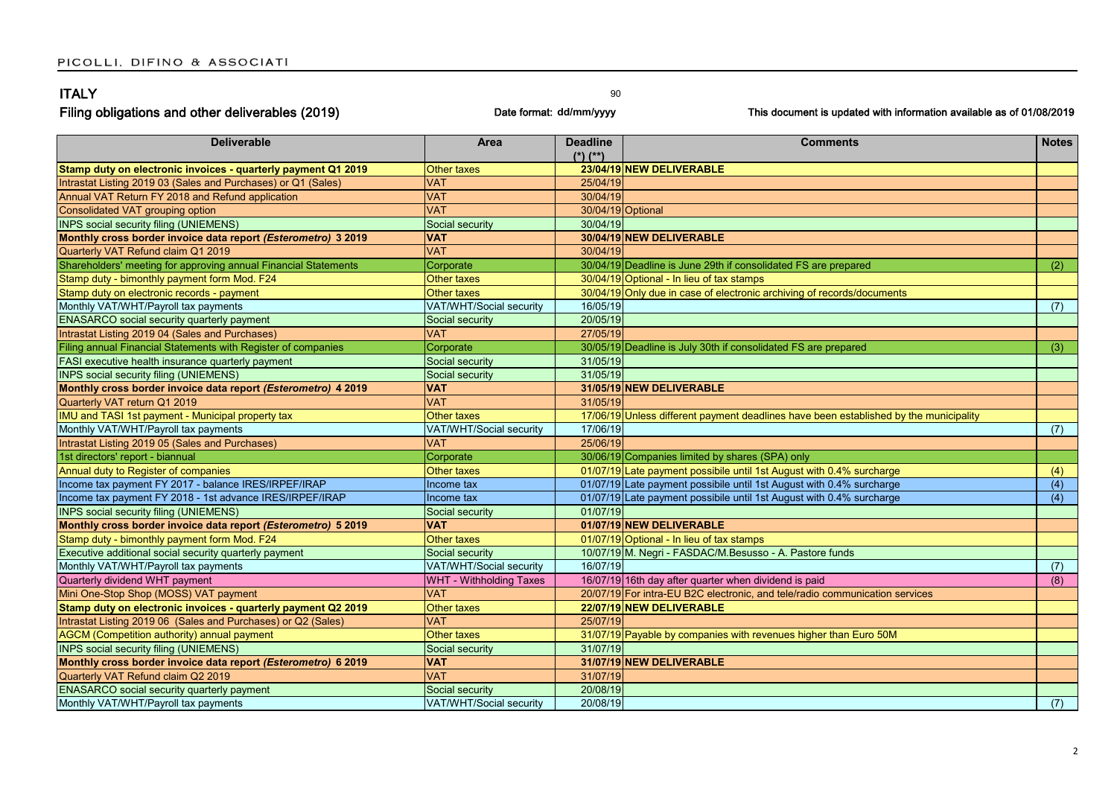| <b>ITALY</b><br>Filing obligations and other deliverables (2019)<br>Date format: dd/mm/yyyy |                    | 90                              | This document is updated with information available as of 01/08/2019 |              |
|---------------------------------------------------------------------------------------------|--------------------|---------------------------------|----------------------------------------------------------------------|--------------|
| <b>Deliverable</b>                                                                          | Area               | <b>Deadline</b><br>$(*)$ $(**)$ | <b>Comments</b>                                                      | <b>Notes</b> |
| Stamp duty on electronic invoices - quarterly payment Q1 2019                               | <b>Other taxes</b> |                                 | 23/04/19 NEW DELIVERABLE                                             |              |
| Intrastat Listing 2019 03 (Sales and Purchases) or Q1 (Sales)                               | <b>VAT</b>         | 25/04/19                        |                                                                      |              |
| Annual VAT Return FY 2018 and Refund application                                            | <b>VAT</b>         | 30/04/19                        |                                                                      |              |
|                                                                                             |                    |                                 |                                                                      |              |

| <b>VAT</b>      | 30/04/19                                                                                                                                                                                                                                                                                                                                                                                                  |                                                                                                                                                                                                                                                                                                                                                                                                                                                                                                                                                                                                                                                                                                                                                                                                                                                                                                                                                       |
|-----------------|-----------------------------------------------------------------------------------------------------------------------------------------------------------------------------------------------------------------------------------------------------------------------------------------------------------------------------------------------------------------------------------------------------------|-------------------------------------------------------------------------------------------------------------------------------------------------------------------------------------------------------------------------------------------------------------------------------------------------------------------------------------------------------------------------------------------------------------------------------------------------------------------------------------------------------------------------------------------------------------------------------------------------------------------------------------------------------------------------------------------------------------------------------------------------------------------------------------------------------------------------------------------------------------------------------------------------------------------------------------------------------|
|                 | 30/04/19 Optional                                                                                                                                                                                                                                                                                                                                                                                         |                                                                                                                                                                                                                                                                                                                                                                                                                                                                                                                                                                                                                                                                                                                                                                                                                                                                                                                                                       |
| Social security |                                                                                                                                                                                                                                                                                                                                                                                                           |                                                                                                                                                                                                                                                                                                                                                                                                                                                                                                                                                                                                                                                                                                                                                                                                                                                                                                                                                       |
|                 |                                                                                                                                                                                                                                                                                                                                                                                                           |                                                                                                                                                                                                                                                                                                                                                                                                                                                                                                                                                                                                                                                                                                                                                                                                                                                                                                                                                       |
|                 |                                                                                                                                                                                                                                                                                                                                                                                                           |                                                                                                                                                                                                                                                                                                                                                                                                                                                                                                                                                                                                                                                                                                                                                                                                                                                                                                                                                       |
| Corporate       | 30/04/19 Deadline is June 29th if consolidated FS are prepared                                                                                                                                                                                                                                                                                                                                            | (2)                                                                                                                                                                                                                                                                                                                                                                                                                                                                                                                                                                                                                                                                                                                                                                                                                                                                                                                                                   |
|                 |                                                                                                                                                                                                                                                                                                                                                                                                           |                                                                                                                                                                                                                                                                                                                                                                                                                                                                                                                                                                                                                                                                                                                                                                                                                                                                                                                                                       |
|                 | 30/04/19 Only due in case of electronic archiving of records/documents                                                                                                                                                                                                                                                                                                                                    |                                                                                                                                                                                                                                                                                                                                                                                                                                                                                                                                                                                                                                                                                                                                                                                                                                                                                                                                                       |
|                 |                                                                                                                                                                                                                                                                                                                                                                                                           | (7)                                                                                                                                                                                                                                                                                                                                                                                                                                                                                                                                                                                                                                                                                                                                                                                                                                                                                                                                                   |
| Social security |                                                                                                                                                                                                                                                                                                                                                                                                           |                                                                                                                                                                                                                                                                                                                                                                                                                                                                                                                                                                                                                                                                                                                                                                                                                                                                                                                                                       |
|                 |                                                                                                                                                                                                                                                                                                                                                                                                           |                                                                                                                                                                                                                                                                                                                                                                                                                                                                                                                                                                                                                                                                                                                                                                                                                                                                                                                                                       |
| Corporate       |                                                                                                                                                                                                                                                                                                                                                                                                           | (3)                                                                                                                                                                                                                                                                                                                                                                                                                                                                                                                                                                                                                                                                                                                                                                                                                                                                                                                                                   |
| Social security |                                                                                                                                                                                                                                                                                                                                                                                                           |                                                                                                                                                                                                                                                                                                                                                                                                                                                                                                                                                                                                                                                                                                                                                                                                                                                                                                                                                       |
|                 |                                                                                                                                                                                                                                                                                                                                                                                                           |                                                                                                                                                                                                                                                                                                                                                                                                                                                                                                                                                                                                                                                                                                                                                                                                                                                                                                                                                       |
|                 |                                                                                                                                                                                                                                                                                                                                                                                                           |                                                                                                                                                                                                                                                                                                                                                                                                                                                                                                                                                                                                                                                                                                                                                                                                                                                                                                                                                       |
|                 |                                                                                                                                                                                                                                                                                                                                                                                                           |                                                                                                                                                                                                                                                                                                                                                                                                                                                                                                                                                                                                                                                                                                                                                                                                                                                                                                                                                       |
| Other taxes     | 17/06/19 Unless different payment deadlines have been established by the municipality                                                                                                                                                                                                                                                                                                                     |                                                                                                                                                                                                                                                                                                                                                                                                                                                                                                                                                                                                                                                                                                                                                                                                                                                                                                                                                       |
|                 |                                                                                                                                                                                                                                                                                                                                                                                                           | (7)                                                                                                                                                                                                                                                                                                                                                                                                                                                                                                                                                                                                                                                                                                                                                                                                                                                                                                                                                   |
|                 |                                                                                                                                                                                                                                                                                                                                                                                                           |                                                                                                                                                                                                                                                                                                                                                                                                                                                                                                                                                                                                                                                                                                                                                                                                                                                                                                                                                       |
| Corporate       | 30/06/19 Companies limited by shares (SPA) only                                                                                                                                                                                                                                                                                                                                                           |                                                                                                                                                                                                                                                                                                                                                                                                                                                                                                                                                                                                                                                                                                                                                                                                                                                                                                                                                       |
| Other taxes     |                                                                                                                                                                                                                                                                                                                                                                                                           | (4)                                                                                                                                                                                                                                                                                                                                                                                                                                                                                                                                                                                                                                                                                                                                                                                                                                                                                                                                                   |
| Income tax      |                                                                                                                                                                                                                                                                                                                                                                                                           | (4)                                                                                                                                                                                                                                                                                                                                                                                                                                                                                                                                                                                                                                                                                                                                                                                                                                                                                                                                                   |
| Income tax      | 01/07/19 Late payment possibile until 1st August with 0.4% surcharge                                                                                                                                                                                                                                                                                                                                      | (4)                                                                                                                                                                                                                                                                                                                                                                                                                                                                                                                                                                                                                                                                                                                                                                                                                                                                                                                                                   |
| Social security |                                                                                                                                                                                                                                                                                                                                                                                                           |                                                                                                                                                                                                                                                                                                                                                                                                                                                                                                                                                                                                                                                                                                                                                                                                                                                                                                                                                       |
|                 |                                                                                                                                                                                                                                                                                                                                                                                                           |                                                                                                                                                                                                                                                                                                                                                                                                                                                                                                                                                                                                                                                                                                                                                                                                                                                                                                                                                       |
|                 |                                                                                                                                                                                                                                                                                                                                                                                                           |                                                                                                                                                                                                                                                                                                                                                                                                                                                                                                                                                                                                                                                                                                                                                                                                                                                                                                                                                       |
| Social security |                                                                                                                                                                                                                                                                                                                                                                                                           |                                                                                                                                                                                                                                                                                                                                                                                                                                                                                                                                                                                                                                                                                                                                                                                                                                                                                                                                                       |
|                 |                                                                                                                                                                                                                                                                                                                                                                                                           | (7)                                                                                                                                                                                                                                                                                                                                                                                                                                                                                                                                                                                                                                                                                                                                                                                                                                                                                                                                                   |
|                 |                                                                                                                                                                                                                                                                                                                                                                                                           | (8)                                                                                                                                                                                                                                                                                                                                                                                                                                                                                                                                                                                                                                                                                                                                                                                                                                                                                                                                                   |
|                 |                                                                                                                                                                                                                                                                                                                                                                                                           |                                                                                                                                                                                                                                                                                                                                                                                                                                                                                                                                                                                                                                                                                                                                                                                                                                                                                                                                                       |
|                 |                                                                                                                                                                                                                                                                                                                                                                                                           |                                                                                                                                                                                                                                                                                                                                                                                                                                                                                                                                                                                                                                                                                                                                                                                                                                                                                                                                                       |
|                 |                                                                                                                                                                                                                                                                                                                                                                                                           |                                                                                                                                                                                                                                                                                                                                                                                                                                                                                                                                                                                                                                                                                                                                                                                                                                                                                                                                                       |
|                 |                                                                                                                                                                                                                                                                                                                                                                                                           |                                                                                                                                                                                                                                                                                                                                                                                                                                                                                                                                                                                                                                                                                                                                                                                                                                                                                                                                                       |
| Social security |                                                                                                                                                                                                                                                                                                                                                                                                           |                                                                                                                                                                                                                                                                                                                                                                                                                                                                                                                                                                                                                                                                                                                                                                                                                                                                                                                                                       |
| <b>VAT</b>      |                                                                                                                                                                                                                                                                                                                                                                                                           |                                                                                                                                                                                                                                                                                                                                                                                                                                                                                                                                                                                                                                                                                                                                                                                                                                                                                                                                                       |
|                 |                                                                                                                                                                                                                                                                                                                                                                                                           |                                                                                                                                                                                                                                                                                                                                                                                                                                                                                                                                                                                                                                                                                                                                                                                                                                                                                                                                                       |
| Social security |                                                                                                                                                                                                                                                                                                                                                                                                           |                                                                                                                                                                                                                                                                                                                                                                                                                                                                                                                                                                                                                                                                                                                                                                                                                                                                                                                                                       |
|                 |                                                                                                                                                                                                                                                                                                                                                                                                           | (7)                                                                                                                                                                                                                                                                                                                                                                                                                                                                                                                                                                                                                                                                                                                                                                                                                                                                                                                                                   |
|                 | <b>VAT</b><br><b>VAT</b><br><b>VAT</b><br><b>Other taxes</b><br>Other taxes<br>VAT/WHT/Social security<br><b>VAT</b><br>Social security<br><b>VAT</b><br><b>VAT</b><br>VAT/WHT/Social security<br><b>VAT</b><br><b>VAT</b><br>Other taxes<br>VAT/WHT/Social security<br><b>WHT - Withholding Taxes</b><br><b>VAT</b><br>Other taxes<br><b>VAT</b><br>Other taxes<br><b>VAT</b><br>VAT/WHT/Social security | .<br>-----<br>30/04/19<br>30/04/19 NEW DELIVERABLE<br>30/04/19<br>30/04/19 Optional - In lieu of tax stamps<br>16/05/19<br>20/05/19<br>27/05/19<br>30/05/19 Deadline is July 30th if consolidated FS are prepared<br>31/05/19<br>31/05/19<br>31/05/19 NEW DELIVERABLE<br>31/05/19<br>17/06/19<br>25/06/19<br>01/07/19 Late payment possibile until 1st August with 0.4% surcharge<br>01/07/19 Late payment possibile until 1st August with 0.4% surcharge<br>01/07/19<br>01/07/19 NEW DELIVERABLE<br>01/07/19 Optional - In lieu of tax stamps<br>10/07/19 M. Negri - FASDAC/M.Besusso - A. Pastore funds<br>16/07/19<br>16/07/19 16th day after quarter when dividend is paid<br>20/07/19 For intra-EU B2C electronic, and tele/radio communication services<br>22/07/19 NEW DELIVERABLE<br>25/07/19<br>31/07/19 Payable by companies with revenues higher than Euro 50M<br>31/07/19<br>31/07/19 NEW DELIVERABLE<br>31/07/19<br>20/08/19<br>20/08/19 |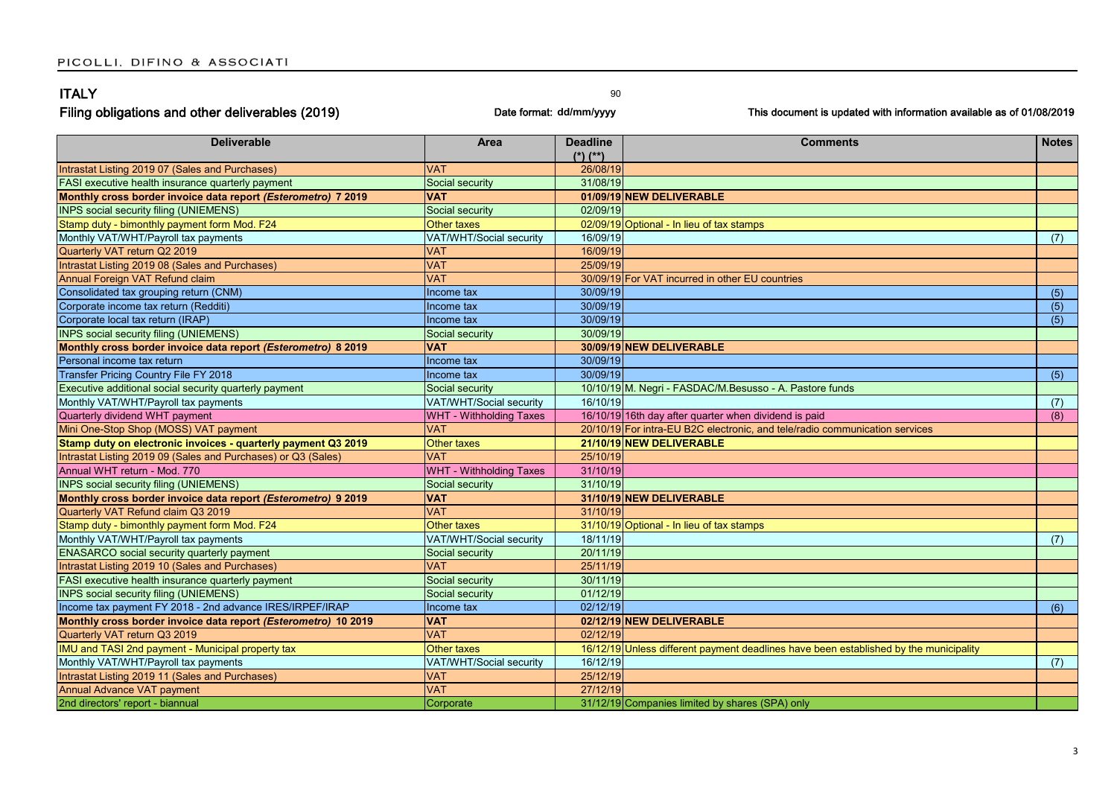| <b>ITALY</b>                                                   |                                | 90                      |                                                                                       |                  |
|----------------------------------------------------------------|--------------------------------|-------------------------|---------------------------------------------------------------------------------------|------------------|
| Filing obligations and other deliverables (2019)               |                                | Date format: dd/mm/yyyy | This document is updated with information available as of 01/08/2019                  |                  |
| <b>Deliverable</b>                                             | Area                           | <b>Deadline</b>         | <b>Comments</b>                                                                       | <b>Notes</b>     |
|                                                                |                                | $(*)$ $(**)$            |                                                                                       |                  |
| Intrastat Listing 2019 07 (Sales and Purchases)                | VAT                            | 26/08/19                |                                                                                       |                  |
| FASI executive health insurance quarterly payment              | Social security                | 31/08/19                |                                                                                       |                  |
| Monthly cross border invoice data report (Esterometro) 7 2019  | <b>VAT</b>                     |                         | 01/09/19 NEW DELIVERABLE                                                              |                  |
| <b>INPS social security filing (UNIEMENS)</b>                  | Social security                | 02/09/19                |                                                                                       |                  |
| Stamp duty - bimonthly payment form Mod. F24                   | Other taxes                    |                         | 02/09/19 Optional - In lieu of tax stamps                                             |                  |
| Monthly VAT/WHT/Payroll tax payments                           | VAT/WHT/Social security        | 16/09/19                |                                                                                       | (7)              |
| Quarterly VAT return Q2 2019                                   | <b>VAT</b>                     | 16/09/19                |                                                                                       |                  |
| Intrastat Listing 2019 08 (Sales and Purchases)                | <b>VAT</b>                     | 25/09/19                |                                                                                       |                  |
| Annual Foreign VAT Refund claim                                | <b>VAT</b>                     |                         | 30/09/19 For VAT incurred in other EU countries                                       |                  |
| Consolidated tax grouping return (CNM)                         | Income tax                     | 30/09/19                |                                                                                       | (5)              |
| Corporate income tax return (Redditi)                          | Income tax                     | 30/09/19                |                                                                                       | $\overline{(5)}$ |
| Corporate local tax return (IRAP)                              | Income tax                     | 30/09/19                |                                                                                       | (5)              |
| <b>INPS social security filing (UNIEMENS)</b>                  | Social security                | 30/09/19                |                                                                                       |                  |
| Monthly cross border invoice data report (Esterometro) 8 2019  | <b>VAT</b>                     |                         | 30/09/19 NEW DELIVERABLE                                                              |                  |
| Personal income tax return                                     | Income tax                     | 30/09/19                |                                                                                       |                  |
| <b>Transfer Pricing Country File FY 2018</b>                   | Income tax                     | 30/09/19                |                                                                                       | (5)              |
| Executive additional social security quarterly payment         | Social security                |                         | 10/10/19 M. Negri - FASDAC/M.Besusso - A. Pastore funds                               |                  |
| Monthly VAT/WHT/Payroll tax payments                           | VAT/WHT/Social security        | 16/10/19                |                                                                                       | (7)              |
| Quarterly dividend WHT payment                                 | <b>WHT - Withholding Taxes</b> |                         | 16/10/19 16th day after quarter when dividend is paid                                 | (8)              |
| Mini One-Stop Shop (MOSS) VAT payment                          | <b>VAT</b>                     |                         | 20/10/19 For intra-EU B2C electronic, and tele/radio communication services           |                  |
| Stamp duty on electronic invoices - quarterly payment Q3 2019  | Other taxes                    |                         | 21/10/19 NEW DELIVERABLE                                                              |                  |
| Intrastat Listing 2019 09 (Sales and Purchases) or Q3 (Sales)  | <b>VAT</b>                     | 25/10/19                |                                                                                       |                  |
| Annual WHT return - Mod. 770                                   | WHT - Withholding Taxes        | 31/10/19                |                                                                                       |                  |
| <b>INPS social security filing (UNIEMENS)</b>                  | Social security                | 31/10/19                |                                                                                       |                  |
| Monthly cross border invoice data report (Esterometro) 9 2019  | <b>VAT</b>                     |                         | 31/10/19 NEW DELIVERABLE                                                              |                  |
| Quarterly VAT Refund claim Q3 2019                             | <b>VAT</b>                     | 31/10/19                |                                                                                       |                  |
| Stamp duty - bimonthly payment form Mod. F24                   | <b>Other taxes</b>             |                         | 31/10/19 Optional - In lieu of tax stamps                                             |                  |
| Monthly VAT/WHT/Payroll tax payments                           | VAT/WHT/Social security        | 18/11/19                |                                                                                       | (7)              |
| ENASARCO social security quarterly payment                     | Social security                | 20/11/19                |                                                                                       |                  |
| Intrastat Listing 2019 10 (Sales and Purchases)                | <b>VAT</b>                     | 25/11/19                |                                                                                       |                  |
| FASI executive health insurance quarterly payment              | Social security                | 30/11/19                |                                                                                       |                  |
| <b>INPS social security filing (UNIEMENS)</b>                  | Social security                | 01/12/19                |                                                                                       |                  |
| Income tax payment FY 2018 - 2nd advance IRES/IRPEF/IRAP       | Income tax                     | 02/12/19                |                                                                                       | (6)              |
| Monthly cross border invoice data report (Esterometro) 10 2019 | <b>VAT</b>                     |                         | 02/12/19 NEW DELIVERABLE                                                              |                  |
| Quarterly VAT return Q3 2019                                   | <b>VAT</b>                     | 02/12/19                |                                                                                       |                  |
| IMU and TASI 2nd payment - Municipal property tax              | Other taxes                    |                         | 16/12/19 Unless different payment deadlines have been established by the municipality |                  |
| Monthly VAT/WHT/Payroll tax payments                           | VAT/WHT/Social security        | 16/12/19                |                                                                                       | (7)              |
| Intrastat Listing 2019 11 (Sales and Purchases)                | <b>VAT</b>                     | 25/12/19                |                                                                                       |                  |
| Annual Advance VAT payment                                     | <b>VAT</b>                     | 27/12/19                |                                                                                       |                  |
| 2nd directors' report - biannual                               | Corporate                      |                         | 31/12/19 Companies limited by shares (SPA) only                                       |                  |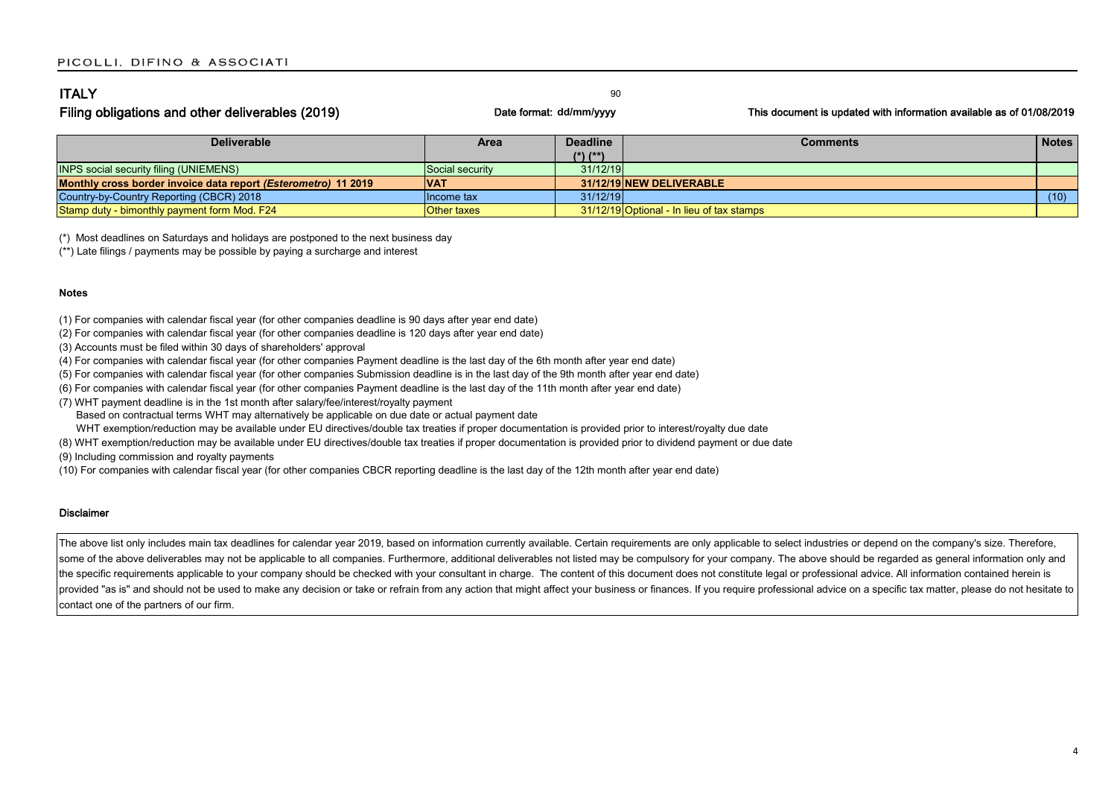| <b>ITALY</b>                                     |                         |                                                                      |
|--------------------------------------------------|-------------------------|----------------------------------------------------------------------|
| Filing obligations and other deliverables (2019) | Date format: dd/mm/yyyy | This document is updated with information available as of 01/08/2019 |

| <b>Deliverable</b>                                                      | Area               | <b>Deadline</b> | <b>Comments</b>                           | <b>Notes</b> |
|-------------------------------------------------------------------------|--------------------|-----------------|-------------------------------------------|--------------|
|                                                                         |                    | $(*)$ $(**)$    |                                           |              |
| <b>INPS social security filing (UNIEMENS)</b>                           | Social security    | 31/12/19        |                                           |              |
| Monthly cross border invoice data report ( <i>Esterometro</i> ) 11 2019 | <b>VAT</b>         |                 | 31/12/19 NEW DELIVERABLE                  |              |
| Country-by-Country Reporting (CBCR) 2018                                | Ilncome tax        | 31/12/19        |                                           | (10)         |
| Stamp duty - bimonthly payment form Mod. F24                            | <b>Other taxes</b> |                 | 31/12/19 Optional - In lieu of tax stamps |              |

(\*) Most deadlines on Saturdays and holidays are postponed to the next business day

(\*\*) Late filings / payments may be possible by paying a surcharge and interest

#### **Notes**

(1) For companies with calendar fiscal year (for other companies deadline is 90 days after year end date)

(2) For companies with calendar fiscal year (for other companies deadline is 120 days after year end date)

(3) Accounts must be filed within 30 days of shareholders' approval

(4) For companies with calendar fiscal year (for other companies Payment deadline is the last day of the 6th month after year end date)

(5) For companies with calendar fiscal year (for other companies Submission deadline is in the last day of the 9th month after year end date)

(6) For companies with calendar fiscal year (for other companies Payment deadline is the last day of the 11th month after year end date)

(7) WHT payment deadline is in the 1st month after salary/fee/interest/royalty payment

Based on contractual terms WHT may alternatively be applicable on due date or actual payment date

WHT exemption/reduction may be available under EU directives/double tax treaties if proper documentation is provided prior to interest/royalty due date

(8) WHT exemption/reduction may be available under EU directives/double tax treaties if proper documentation is provided prior to dividend payment or due date

(9) Including commission and royalty payments

(10) For companies with calendar fiscal year (for other companies CBCR reporting deadline is the last day of the 12th month after year end date)

#### Disclaimer

The above list only includes main tax deadlines for calendar year 2019, based on information currently available. Certain requirements are only applicable to select industries or depend on the company's size. Therefore, some of the above deliverables may not be applicable to all companies. Furthermore, additional deliverables not listed may be compulsory for your company. The above should be regarded as general information only and the specific requirements applicable to your company should be checked with your consultant in charge. The content of this document does not constitute legal or professional advice. All information contained herein is provided "as is" and should not be used to make any decision or take or refrain from any action that might affect your business or finances. If you require professional advice on a specific tax matter, please do not hesita contact one of the partners of our firm.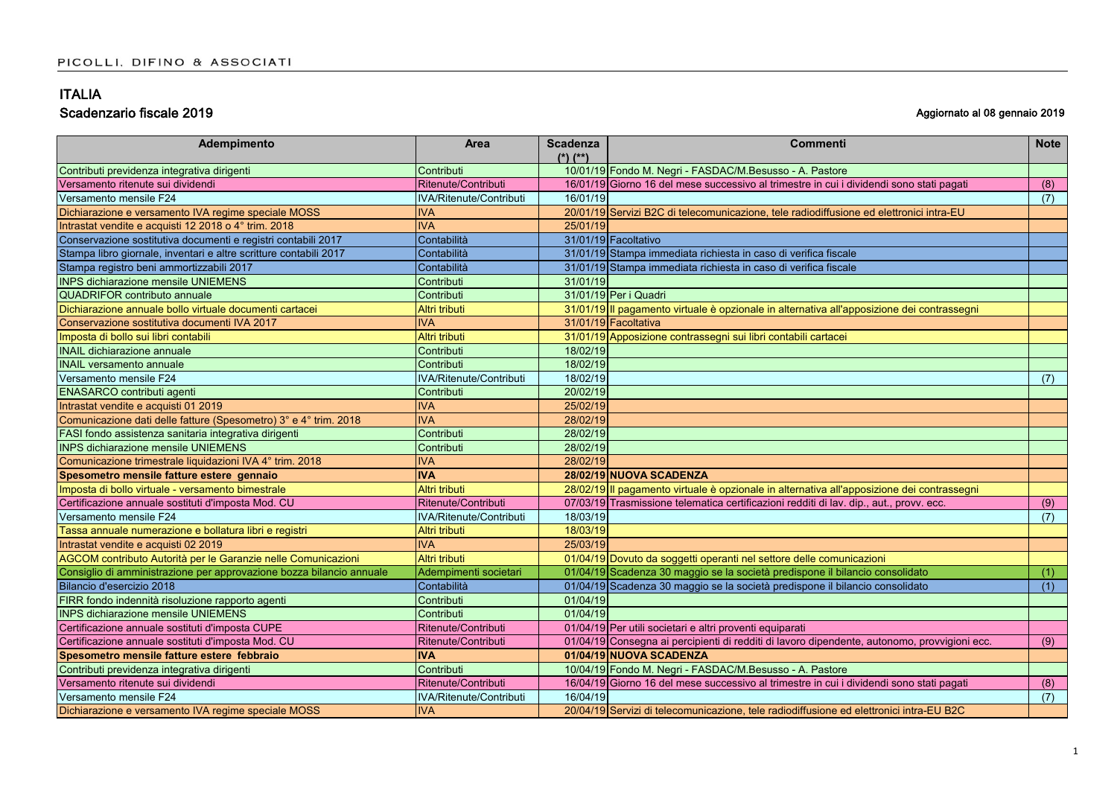| Adempimento                                                          | <b>Area</b>                    | <b>Scadenza</b><br>$(*)$ $(*)$ | <b>Commenti</b>                                                                              | <b>Note</b> |
|----------------------------------------------------------------------|--------------------------------|--------------------------------|----------------------------------------------------------------------------------------------|-------------|
| Contributi previdenza integrativa dirigenti                          | Contributi                     |                                | 10/01/19 Fondo M. Negri - FASDAC/M.Besusso - A. Pastore                                      |             |
| Versamento ritenute sui dividendi                                    | Ritenute/Contributi            |                                | 16/01/19 Giorno 16 del mese successivo al trimestre in cui i dividendi sono stati pagati     | (8)         |
| Versamento mensile F24                                               | <b>IVA/Ritenute/Contributi</b> | 16/01/19                       |                                                                                              | (7)         |
| Dichiarazione e versamento IVA regime speciale MOSS                  | <b>IVA</b>                     |                                | 20/01/19 Servizi B2C di telecomunicazione, tele radiodiffusione ed elettronici intra-EU      |             |
| Intrastat vendite e acquisti 12 2018 o 4° trim. 2018                 | <b>IVA</b>                     | 25/01/19                       |                                                                                              |             |
| Conservazione sostitutiva documenti e registri contabili 2017        | Contabilità                    |                                | 31/01/19 Facoltativo                                                                         |             |
| Stampa libro giornale, inventari e altre scritture contabili 2017    | Contabilità                    |                                | 31/01/19 Stampa immediata richiesta in caso di verifica fiscale                              |             |
| Stampa registro beni ammortizzabili 2017                             | Contabilità                    |                                | 31/01/19 Stampa immediata richiesta in caso di verifica fiscale                              |             |
| <b>INPS dichiarazione mensile UNIEMENS</b>                           | Contributi                     | 31/01/19                       |                                                                                              |             |
| <b>QUADRIFOR contributo annuale</b>                                  | Contributi                     |                                | 31/01/19 Per i Quadri                                                                        |             |
| Dichiarazione annuale bollo virtuale documenti cartacei              | Altri tributi                  |                                | 31/01/19 Il pagamento virtuale è opzionale in alternativa all'apposizione dei contrassegni   |             |
| Conservazione sostitutiva documenti IVA 2017                         | <b>IVA</b>                     |                                | 31/01/19 Facoltativa                                                                         |             |
| Imposta di bollo sui libri contabili                                 | Altri tributi                  |                                | 31/01/19 Apposizione contrassegni sui libri contabili cartacei                               |             |
| <b>INAIL dichiarazione annuale</b>                                   | Contributi                     | 18/02/19                       |                                                                                              |             |
| <b>INAIL versamento annuale</b>                                      | Contributi                     | 18/02/19                       |                                                                                              |             |
| Versamento mensile F24                                               | IVA/Ritenute/Contributi        | 18/02/19                       |                                                                                              | (7)         |
| ENASARCO contributi agenti                                           | Contributi                     | 20/02/19                       |                                                                                              |             |
| Intrastat vendite e acquisti 01 2019                                 | <b>IVA</b>                     | 25/02/19                       |                                                                                              |             |
| Comunicazione dati delle fatture (Spesometro) 3° e 4° trim. 2018     | <b>IVA</b>                     | 28/02/19                       |                                                                                              |             |
| FASI fondo assistenza sanitaria integrativa dirigenti                | Contributi                     | 28/02/19                       |                                                                                              |             |
| <b>INPS dichiarazione mensile UNIEMENS</b>                           | Contributi                     | 28/02/19                       |                                                                                              |             |
| Comunicazione trimestrale liquidazioni IVA 4° trim. 2018             | <b>IVA</b>                     | 28/02/19                       |                                                                                              |             |
| Spesometro mensile fatture estere gennaio                            | <b>IVA</b>                     |                                | 28/02/19 NUOVA SCADENZA                                                                      |             |
| Imposta di bollo virtuale - versamento bimestrale                    | Altri tributi                  |                                | 28/02/19 Il pagamento virtuale è opzionale in alternativa all'apposizione dei contrassegni   |             |
| Certificazione annuale sostituti d'imposta Mod. CU                   | Ritenute/Contributi            |                                | 07/03/19 Trasmissione telematica certificazioni redditi di lav. dip., aut., provv. ecc.      | (9)         |
| Versamento mensile F24                                               | IVA/Ritenute/Contributi        | 18/03/19                       |                                                                                              | (7)         |
| Tassa annuale numerazione e bollatura libri e registri               | Altri tributi                  | 18/03/19                       |                                                                                              |             |
| Intrastat vendite e acquisti 02 2019                                 | <b>IVA</b>                     | 25/03/19                       |                                                                                              |             |
| AGCOM contributo Autorità per le Garanzie nelle Comunicazioni        | Altri tributi                  |                                | 01/04/19 Dovuto da soggetti operanti nel settore delle comunicazioni                         |             |
| Consiglio di amministrazione per approvazione bozza bilancio annuale | Adempimenti societari          |                                | 01/04/19 Scadenza 30 maggio se la società predispone il bilancio consolidato                 | (1)         |
| Bilancio d'esercizio 2018                                            | Contabilità                    |                                | 01/04/19 Scadenza 30 maggio se la società predispone il bilancio consolidato                 | (1)         |
| FIRR fondo indennità risoluzione rapporto agenti                     | Contributi                     | 01/04/19                       |                                                                                              |             |
| <b>INPS dichiarazione mensile UNIEMENS</b>                           | Contributi                     | 01/04/19                       |                                                                                              |             |
| Certificazione annuale sostituti d'imposta CUPE                      | Ritenute/Contributi            |                                | 01/04/19 Per utili societari e altri proventi equiparati                                     |             |
| Certificazione annuale sostituti d'imposta Mod. CU                   | Ritenute/Contributi            |                                | 01/04/19 Consegna ai percipienti di redditi di lavoro dipendente, autonomo, provvigioni ecc. | (9)         |
| Spesometro mensile fatture estere febbraio                           | <b>IVA</b>                     |                                | 01/04/19 NUOVA SCADENZA                                                                      |             |
| Contributi previdenza integrativa dirigenti                          | Contributi                     |                                | 10/04/19 Fondo M. Negri - FASDAC/M.Besusso - A. Pastore                                      |             |
| Versamento ritenute sui dividendi                                    | Ritenute/Contributi            |                                | 16/04/19 Giorno 16 del mese successivo al trimestre in cui i dividendi sono stati pagati     | (8)         |
| Versamento mensile F24                                               | IVA/Ritenute/Contributi        | 16/04/19                       |                                                                                              | (7)         |
| Dichiarazione e versamento IVA regime speciale MOSS                  | <b>IVA</b>                     |                                | 20/04/19 Servizi di telecomunicazione, tele radiodiffusione ed elettronici intra-EU B2C      |             |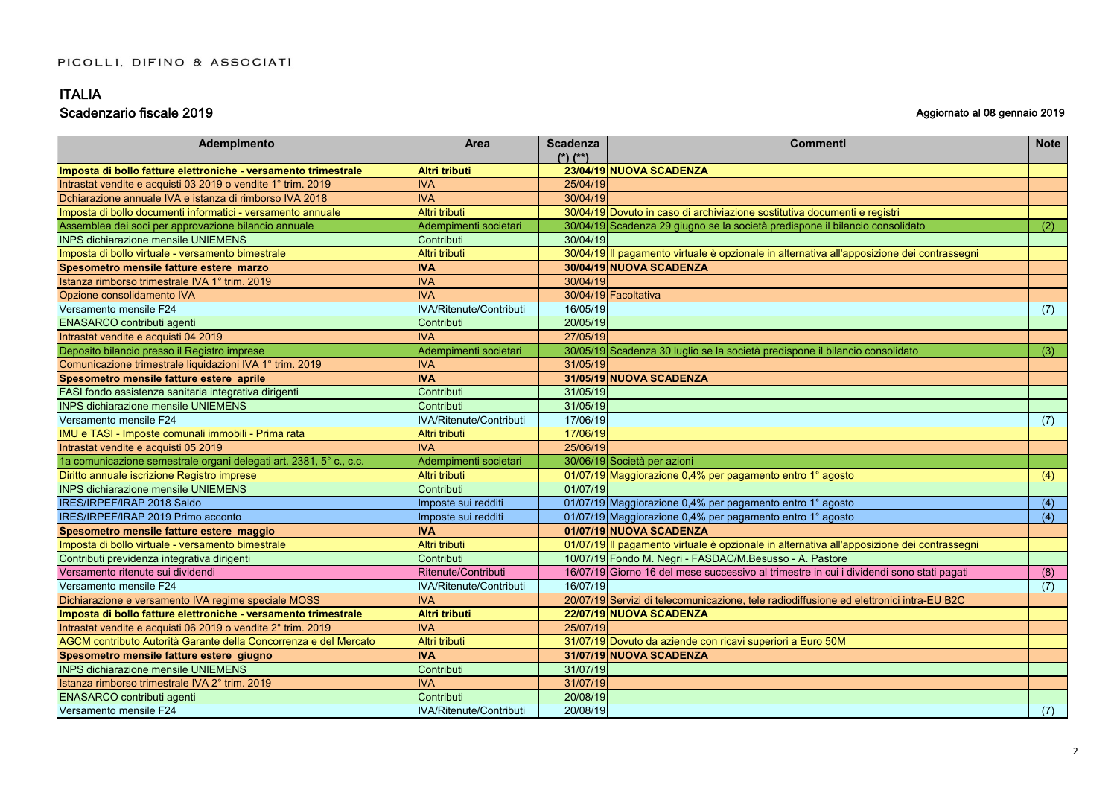| Adempimento                                                        | Area                           | <b>Scadenza</b><br>$(*)$ $(**)$ | <b>Commenti</b>                                                                            | <b>Note</b> |
|--------------------------------------------------------------------|--------------------------------|---------------------------------|--------------------------------------------------------------------------------------------|-------------|
| Imposta di bollo fatture elettroniche - versamento trimestrale     | <b>Altri tributi</b>           |                                 | 23/04/19 NUOVA SCADENZA                                                                    |             |
| Intrastat vendite e acquisti 03 2019 o vendite 1° trim. 2019       | <b>IVA</b>                     | 25/04/19                        |                                                                                            |             |
| Dchiarazione annuale IVA e istanza di rimborso IVA 2018            | <b>IVA</b>                     | 30/04/19                        |                                                                                            |             |
| Imposta di bollo documenti informatici - versamento annuale        | Altri tributi                  |                                 | 30/04/19 Dovuto in caso di archiviazione sostitutiva documenti e registri                  |             |
| Assemblea dei soci per approvazione bilancio annuale               | Adempimenti societari          |                                 | 30/04/19 Scadenza 29 giugno se la società predispone il bilancio consolidato               | (2)         |
| <b>INPS dichiarazione mensile UNIEMENS</b>                         | Contributi                     | 30/04/19                        |                                                                                            |             |
| Imposta di bollo virtuale - versamento bimestrale                  | Altri tributi                  |                                 | 30/04/19 Il pagamento virtuale è opzionale in alternativa all'apposizione dei contrassegni |             |
| Spesometro mensile fatture estere marzo                            | <b>IVA</b>                     |                                 | 30/04/19 NUOVA SCADENZA                                                                    |             |
| Istanza rimborso trimestrale IVA 1° trim, 2019                     | <b>IVA</b>                     | 30/04/19                        |                                                                                            |             |
| Opzione consolidamento IVA                                         | <b>IVA</b>                     |                                 | 30/04/19 Facoltativa                                                                       |             |
| Versamento mensile F24                                             | <b>IVA/Ritenute/Contributi</b> | 16/05/19                        |                                                                                            | (7)         |
| ENASARCO contributi agenti                                         | Contributi                     | 20/05/19                        |                                                                                            |             |
| Intrastat vendite e acquisti 04 2019                               | <b>IVA</b>                     | 27/05/19                        |                                                                                            |             |
| Deposito bilancio presso il Registro imprese                       | Adempimenti societari          |                                 | 30/05/19 Scadenza 30 luglio se la società predispone il bilancio consolidato               | (3)         |
| Comunicazione trimestrale liquidazioni IVA 1° trim. 2019           | <b>IVA</b>                     | 31/05/19                        |                                                                                            |             |
| Spesometro mensile fatture estere aprile                           | <b>IVA</b>                     |                                 | 31/05/19 NUOVA SCADENZA                                                                    |             |
| FASI fondo assistenza sanitaria integrativa dirigenti              | Contributi                     | 31/05/19                        |                                                                                            |             |
| <b>INPS dichiarazione mensile UNIEMENS</b>                         | Contributi                     | 31/05/19                        |                                                                                            |             |
| Versamento mensile F24                                             | IVA/Ritenute/Contributi        | 17/06/19                        |                                                                                            | (7)         |
| IMU e TASI - Imposte comunali immobili - Prima rata                | Altri tributi                  | 17/06/19                        |                                                                                            |             |
| Intrastat vendite e acquisti 05 2019                               | <b>IVA</b>                     | 25/06/19                        |                                                                                            |             |
| 1a comunicazione semestrale organi delegati art. 2381, 5° c., c.c. | Adempimenti societari          |                                 | 30/06/19 Società per azioni                                                                |             |
| Diritto annuale iscrizione Registro imprese                        | Altri tributi                  |                                 | 01/07/19 Maggiorazione 0,4% per pagamento entro 1° agosto                                  | (4)         |
| <b>INPS dichiarazione mensile UNIEMENS</b>                         | Contributi                     | 01/07/19                        |                                                                                            |             |
| IRES/IRPEF/IRAP 2018 Saldo                                         | Imposte sui redditi            |                                 | 01/07/19 Maggiorazione 0,4% per pagamento entro 1° agosto                                  | (4)         |
| IRES/IRPEF/IRAP 2019 Primo acconto                                 | Imposte sui redditi            |                                 | 01/07/19 Maggiorazione 0,4% per pagamento entro 1° agosto                                  | (4)         |
| Spesometro mensile fatture estere maggio                           | <b>IVA</b>                     |                                 | 01/07/19 NUOVA SCADENZA                                                                    |             |
| Imposta di bollo virtuale - versamento bimestrale                  | Altri tributi                  |                                 | 01/07/19 Il pagamento virtuale è opzionale in alternativa all'apposizione dei contrassegni |             |
| Contributi previdenza integrativa dirigenti                        | Contributi                     |                                 | 10/07/19 Fondo M. Negri - FASDAC/M.Besusso - A. Pastore                                    |             |
| Versamento ritenute sui dividendi                                  | Ritenute/Contributi            |                                 | 16/07/19 Giorno 16 del mese successivo al trimestre in cui i dividendi sono stati pagati   | (8)         |
| Versamento mensile F24                                             | IVA/Ritenute/Contributi        | 16/07/19                        |                                                                                            | (7)         |
| Dichiarazione e versamento IVA regime speciale MOSS                | <b>IVA</b>                     |                                 | 20/07/19 Servizi di telecomunicazione, tele radiodiffusione ed elettronici intra-EU B2C    |             |
| Imposta di bollo fatture elettroniche - versamento trimestrale     | <b>Altri tributi</b>           |                                 | 22/07/19 NUOVA SCADENZA                                                                    |             |
| Intrastat vendite e acquisti 06 2019 o vendite 2° trim. 2019       | <b>IVA</b>                     | 25/07/19                        |                                                                                            |             |
| AGCM contributo Autorità Garante della Concorrenza e del Mercato   | Altri tributi                  |                                 | 31/07/19 Dovuto da aziende con ricavi superiori a Euro 50M                                 |             |
| Spesometro mensile fatture estere giugno                           | <b>IVA</b>                     |                                 | 31/07/19 NUOVA SCADENZA                                                                    |             |
| <b>INPS dichiarazione mensile UNIEMENS</b>                         | Contributi                     | 31/07/19                        |                                                                                            |             |
| Istanza rimborso trimestrale IVA 2° trim. 2019                     | <b>IVA</b>                     | 31/07/19                        |                                                                                            |             |
| <b>ENASARCO</b> contributi agenti                                  | Contributi                     | 20/08/19                        |                                                                                            |             |
| Versamento mensile F24                                             | IVA/Ritenute/Contributi        | 20/08/19                        |                                                                                            | (7)         |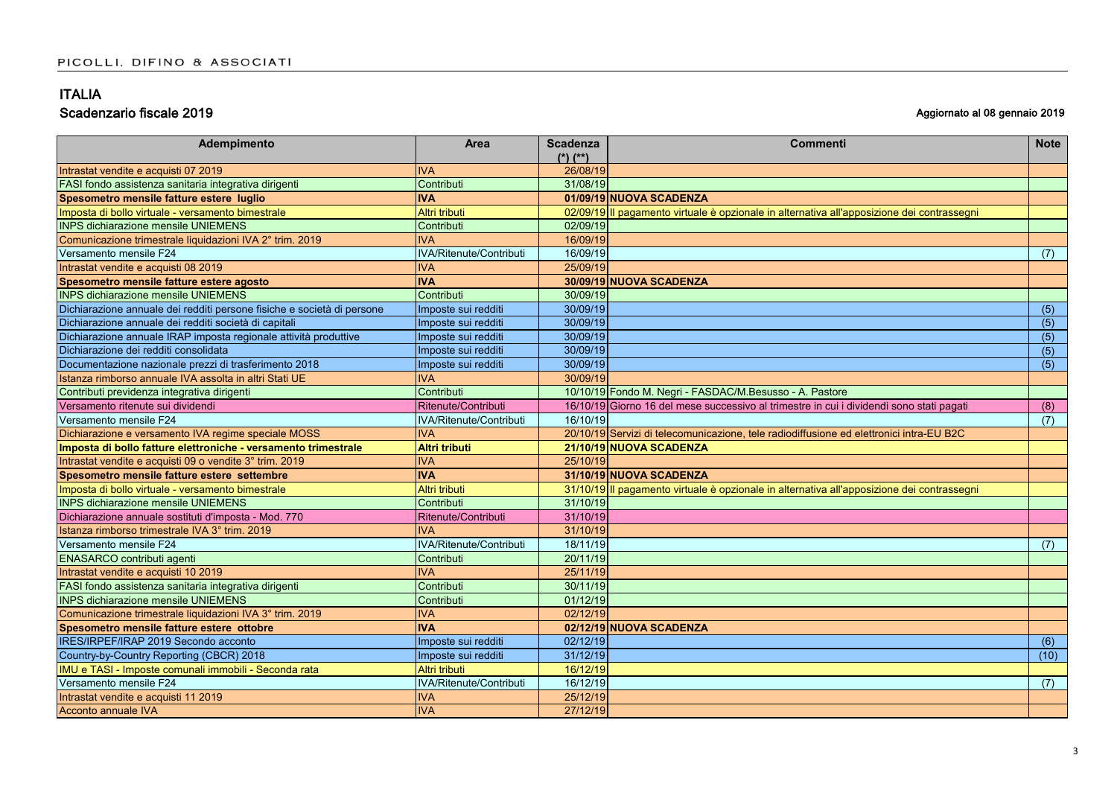| Adempimento                                                            | <b>Area</b>             | <b>Scadenza</b> | <b>Commenti</b>                                                                            | <b>Note</b> |
|------------------------------------------------------------------------|-------------------------|-----------------|--------------------------------------------------------------------------------------------|-------------|
|                                                                        |                         | $(*)$ $(**)$    |                                                                                            |             |
| Intrastat vendite e acquisti 07 2019                                   | <b>IVA</b>              | 26/08/19        |                                                                                            |             |
| FASI fondo assistenza sanitaria integrativa dirigenti                  | Contributi              | 31/08/19        |                                                                                            |             |
| Spesometro mensile fatture estere luglio                               | <b>IVA</b>              |                 | 01/09/19 NUOVA SCADENZA                                                                    |             |
| Imposta di bollo virtuale - versamento bimestrale                      | Altri tributi           |                 | 02/09/19 Il pagamento virtuale è opzionale in alternativa all'apposizione dei contrassegni |             |
| <b>INPS dichiarazione mensile UNIEMENS</b>                             | Contributi              | 02/09/19        |                                                                                            |             |
| Comunicazione trimestrale liquidazioni IVA 2° trim. 2019               | <b>IVA</b>              | 16/09/19        |                                                                                            |             |
| Versamento mensile F24                                                 | IVA/Ritenute/Contributi | 16/09/19        |                                                                                            | (7)         |
| Intrastat vendite e acquisti 08 2019                                   | <b>IVA</b>              | 25/09/19        |                                                                                            |             |
| Spesometro mensile fatture estere agosto                               | <b>IVA</b>              |                 | 30/09/19 NUOVA SCADENZA                                                                    |             |
| <b>INPS dichiarazione mensile UNIEMENS</b>                             | Contributi              | 30/09/19        |                                                                                            |             |
| Dichiarazione annuale dei redditi persone fisiche e società di persone | Imposte sui redditi     | 30/09/19        |                                                                                            | (5)         |
| Dichiarazione annuale dei redditi società di capitali                  | Imposte sui redditi     | 30/09/19        |                                                                                            | (5)         |
| Dichiarazione annuale IRAP imposta regionale attività produttive       | Imposte sui redditi     | 30/09/19        |                                                                                            | (5)         |
| Dichiarazione dei redditi consolidata                                  | Imposte sui redditi     | 30/09/19        |                                                                                            | (5)         |
| Documentazione nazionale prezzi di trasferimento 2018                  | Imposte sui redditi     | 30/09/19        |                                                                                            | (5)         |
| Istanza rimborso annuale IVA assolta in altri Stati UE                 | <b>IVA</b>              | 30/09/19        |                                                                                            |             |
| Contributi previdenza integrativa dirigenti                            | Contributi              |                 | 10/10/19 Fondo M. Negri - FASDAC/M.Besusso - A. Pastore                                    |             |
| Versamento ritenute sui dividendi                                      | Ritenute/Contributi     |                 | 16/10/19 Giorno 16 del mese successivo al trimestre in cui i dividendi sono stati pagati   | (8)         |
| Versamento mensile F24                                                 | IVA/Ritenute/Contributi | 16/10/19        |                                                                                            | (7)         |
| Dichiarazione e versamento IVA regime speciale MOSS                    | <b>IVA</b>              |                 | 20/10/19 Servizi di telecomunicazione, tele radiodiffusione ed elettronici intra-EU B2C    |             |
| Imposta di bollo fatture elettroniche - versamento trimestrale         | <b>Altri tributi</b>    |                 | 21/10/19 NUOVA SCADENZA                                                                    |             |
| Intrastat vendite e acquisti 09 o vendite 3° trim. 2019                | <b>IVA</b>              | 25/10/19        |                                                                                            |             |
| Spesometro mensile fatture estere settembre                            | <b>IVA</b>              |                 | 31/10/19 NUOVA SCADENZA                                                                    |             |
| Imposta di bollo virtuale - versamento bimestrale                      | Altri tributi           |                 | 31/10/19 Il pagamento virtuale è opzionale in alternativa all'apposizione dei contrassegni |             |
| <b>INPS dichiarazione mensile UNIEMENS</b>                             | Contributi              | 31/10/19        |                                                                                            |             |
| Dichiarazione annuale sostituti d'imposta - Mod. 770                   | Ritenute/Contributi     | 31/10/19        |                                                                                            |             |
| Istanza rimborso trimestrale IVA 3° trim. 2019                         | <b>IVA</b>              | 31/10/19        |                                                                                            |             |
| Versamento mensile F24                                                 | IVA/Ritenute/Contributi | 18/11/19        |                                                                                            | (7)         |
| <b>ENASARCO contributi agenti</b>                                      | Contributi              | 20/11/19        |                                                                                            |             |
| Intrastat vendite e acquisti 10 2019                                   | <b>IVA</b>              | 25/11/19        |                                                                                            |             |
| FASI fondo assistenza sanitaria integrativa dirigenti                  | Contributi              | 30/11/19        |                                                                                            |             |
| <b>INPS dichiarazione mensile UNIEMENS</b>                             | Contributi              | 01/12/19        |                                                                                            |             |
| Comunicazione trimestrale liquidazioni IVA 3° trim. 2019               | <b>IVA</b>              | 02/12/19        |                                                                                            |             |
| Spesometro mensile fatture estere ottobre                              | <b>IVA</b>              |                 | 02/12/19 NUOVA SCADENZA                                                                    |             |
| IRES/IRPEF/IRAP 2019 Secondo acconto                                   | Imposte sui redditi     | 02/12/19        |                                                                                            | (6)         |
| Country-by-Country Reporting (CBCR) 2018                               | Imposte sui redditi     | 31/12/19        |                                                                                            | (10)        |
| IMU e TASI - Imposte comunali immobili - Seconda rata                  | Altri tributi           | 16/12/19        |                                                                                            |             |
| Versamento mensile F24                                                 | IVA/Ritenute/Contributi | 16/12/19        |                                                                                            | (7)         |
| Intrastat vendite e acquisti 11 2019                                   | <b>IVA</b>              | 25/12/19        |                                                                                            |             |
| Acconto annuale IVA                                                    | <b>IVA</b>              | 27/12/19        |                                                                                            |             |